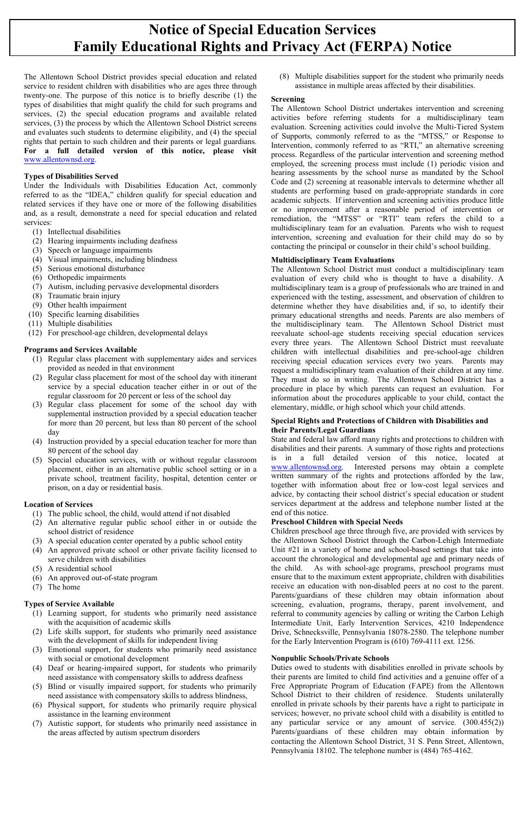# **Notice of Special Education Services Family Educational Rights and Privacy Act (FERPA) Notice**

The Allentown School District provides special education and related service to resident children with disabilities who are ages three through twenty-one. The purpose of this notice is to briefly describe (1) the types of disabilities that might qualify the child for such programs and services, (2) the special education programs and available related services, (3) the process by which the Allentown School District screens and evaluates such students to determine eligibility, and (4) the special rights that pertain to such children and their parents or legal guardians. **For a full detailed version of this notice, please visit**  [www.allentownsd.org.](http://www.allentownsd.org/)

# **Types of Disabilities Served**

Under the Individuals with Disabilities Education Act, commonly referred to as the "IDEA," children qualify for special education and related services if they have one or more of the following disabilities and, as a result, demonstrate a need for special education and related services:

- (1) Intellectual disabilities
- (2) Hearing impairments including deafness
- (3) Speech or language impairments
- (4) Visual impairments, including blindness
- (5) Serious emotional disturbance
- (6) Orthopedic impairments
- (7) Autism, including pervasive developmental disorders
- (8) Traumatic brain injury
- (9) Other health impairment
- (10) Specific learning disabilities
- (11) Multiple disabilities
- (12) For preschool-age children, developmental delays

# **Programs and Services Available**

- (1) Regular class placement with supplementary aides and services provided as needed in that environment
- (2) Regular class placement for most of the school day with itinerant service by a special education teacher either in or out of the regular classroom for 20 percent or less of the school day
- (3) Regular class placement for some of the school day with supplemental instruction provided by a special education teacher for more than 20 percent, but less than 80 percent of the school day
- (4) Instruction provided by a special education teacher for more than 80 percent of the school day
- (5) Special education services, with or without regular classroom placement, either in an alternative public school setting or in a private school, treatment facility, hospital, detention center or prison, on a day or residential basis.

# **Location of Services**

- (1) The public school, the child, would attend if not disabled
- (2) An alternative regular public school either in or outside the school district of residence
- (3) A special education center operated by a public school entity
- (4) An approved private school or other private facility licensed to serve children with disabilities
- (5) A residential school
- (6) An approved out-of-state program
- (7) The home

# **Types of Service Available**

- (1) Learning support, for students who primarily need assistance with the acquisition of academic skills
- (2) Life skills support, for students who primarily need assistance with the development of skills for independent living
- (3) Emotional support, for students who primarily need assistance with social or emotional development
- (4) Deaf or hearing-impaired support, for students who primarily need assistance with compensatory skills to address deafness
- (5) Blind or visually impaired support, for students who primarily need assistance with compensatory skills to address blindness,
- (6) Physical support, for students who primarily require physical assistance in the learning environment
- (7) Autistic support, for students who primarily need assistance in the areas affected by autism spectrum disorders

(8) Multiple disabilities support for the student who primarily needs assistance in multiple areas affected by their disabilities.

# **Screening**

The Allentown School District undertakes intervention and screening activities before referring students for a multidisciplinary team evaluation. Screening activities could involve the Multi-Tiered System of Supports, commonly referred to as the "MTSS," or Response to Intervention, commonly referred to as "RTI," an alternative screening process. Regardless of the particular intervention and screening method employed, the screening process must include (1) periodic vision and hearing assessments by the school nurse as mandated by the School Code and (2) screening at reasonable intervals to determine whether all students are performing based on grade-appropriate standards in core academic subjects. If intervention and screening activities produce little or no improvement after a reasonable period of intervention or remediation, the "MTSS" or "RTI" team refers the child to a multidisciplinary team for an evaluation. Parents who wish to request intervention, screening and evaluation for their child may do so by contacting the principal or counselor in their child's school building.

# **Multidisciplinary Team Evaluations**

The Allentown School District must conduct a multidisciplinary team evaluation of every child who is thought to have a disability. A multidisciplinary team is a group of professionals who are trained in and experienced with the testing, assessment, and observation of children to determine whether they have disabilities and, if so, to identify their primary educational strengths and needs. Parents are also members of the multidisciplinary team. The Allentown School District must reevaluate school-age students receiving special education services every three years. The Allentown School District must reevaluate children with intellectual disabilities and pre-school-age children receiving special education services every two years. Parents may request a multidisciplinary team evaluation of their children at any time. They must do so in writing. The Allentown School District has a procedure in place by which parents can request an evaluation. For information about the procedures applicable to your child, contact the elementary, middle, or high school which your child attends.

#### **Special Rights and Protections of Children with Disabilities and their Parents/Legal Guardians**

State and federal law afford many rights and protections to children with disabilities and their parents. A summary of those rights and protections is in a full detailed version of this notice, located at [www.allentownsd.org.](http://www.allentownsd.org/) Interested persons may obtain a complete written summary of the rights and protections afforded by the law, together with information about free or low-cost legal services and advice, by contacting their school district's special education or student services department at the address and telephone number listed at the end of this notice.

# **Preschool Children with Special Needs**

Children preschool age three through five, are provided with services by the Allentown School District through the Carbon-Lehigh Intermediate Unit #21 in a variety of home and school-based settings that take into account the chronological and developmental age and primary needs of the child. As with school-age programs, preschool programs must ensure that to the maximum extent appropriate, children with disabilities receive an education with non-disabled peers at no cost to the parent. Parents/guardians of these children may obtain information about screening, evaluation, programs, therapy, parent involvement, and referral to community agencies by calling or writing the Carbon Lehigh Intermediate Unit, Early Intervention Services, 4210 Independence Drive, Schnecksville, Pennsylvania 18078-2580. The telephone number for the Early Intervention Program is (610) 769-4111 ext. 1256.

#### **Nonpublic Schools/Private Schools**

Duties owed to students with disabilities enrolled in private schools by their parents are limited to child find activities and a genuine offer of a Free Appropriate Program of Education (FAPE) from the Allentown School District to their children of residence. Students unilaterally enrolled in private schools by their parents have a right to participate in services; however, no private school child with a disability is entitled to any particular service or any amount of service. (300.455(2)) Parents/guardians of these children may obtain information by contacting the Allentown School District, 31 S. Penn Street, Allentown, Pennsylvania 18102. The telephone number is (484) 765-4162.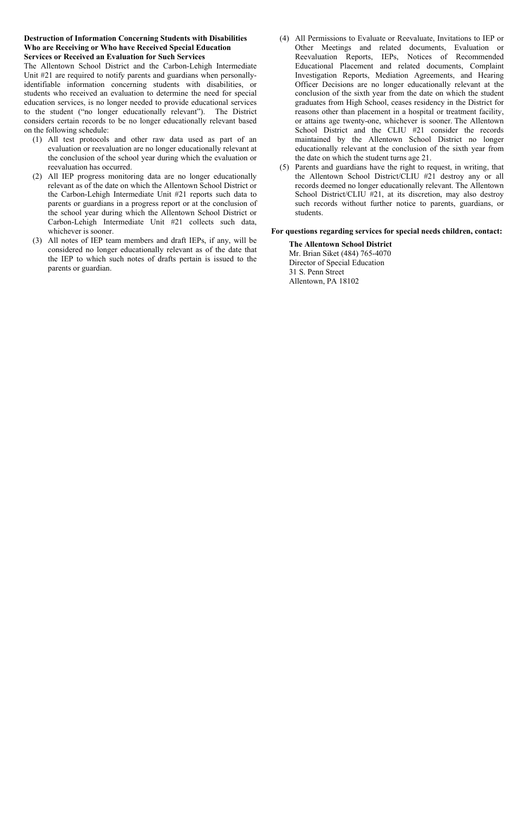#### **Destruction of Information Concerning Students with Disabilities Who are Receiving or Who have Received Special Education Services or Received an Evaluation for Such Services**

The Allentown School District and the Carbon-Lehigh Intermediate Unit #21 are required to notify parents and guardians when personallyidentifiable information concerning students with disabilities, or students who received an evaluation to determine the need for special education services, is no longer needed to provide educational services to the student ("no longer educationally relevant"). The District considers certain records to be no longer educationally relevant based on the following schedule:

- (1) All test protocols and other raw data used as part of an evaluation or reevaluation are no longer educationally relevant at the conclusion of the school year during which the evaluation or reevaluation has occurred.
- (2) All IEP progress monitoring data are no longer educationally relevant as of the date on which the Allentown School District or the Carbon-Lehigh Intermediate Unit #21 reports such data to parents or guardians in a progress report or at the conclusion of the school year during which the Allentown School District or Carbon-Lehigh Intermediate Unit #21 collects such data, whichever is sooner.
- (3) All notes of IEP team members and draft IEPs, if any, will be considered no longer educationally relevant as of the date that the IEP to which such notes of drafts pertain is issued to the parents or guardian.
- (4) All Permissions to Evaluate or Reevaluate, Invitations to IEP or Other Meetings and related documents, Evaluation or Reevaluation Reports, IEPs, Notices of Recommended Educational Placement and related documents, Complaint Investigation Reports, Mediation Agreements, and Hearing Officer Decisions are no longer educationally relevant at the conclusion of the sixth year from the date on which the student graduates from High School, ceases residency in the District for reasons other than placement in a hospital or treatment facility, or attains age twenty-one, whichever is sooner. The Allentown School District and the CLIU #21 consider the records maintained by the Allentown School District no longer educationally relevant at the conclusion of the sixth year from the date on which the student turns age 21.
- (5) Parents and guardians have the right to request, in writing, that the Allentown School District/CLIU #21 destroy any or all records deemed no longer educationally relevant. The Allentown School District/CLIU #21, at its discretion, may also destroy such records without further notice to parents, guardians, or students.

#### **For questions regarding services for special needs children, contact:**

**The Allentown School District** Mr. Brian Siket (484) 765-4070 Director of Special Education 31 S. Penn Street Allentown, PA 18102